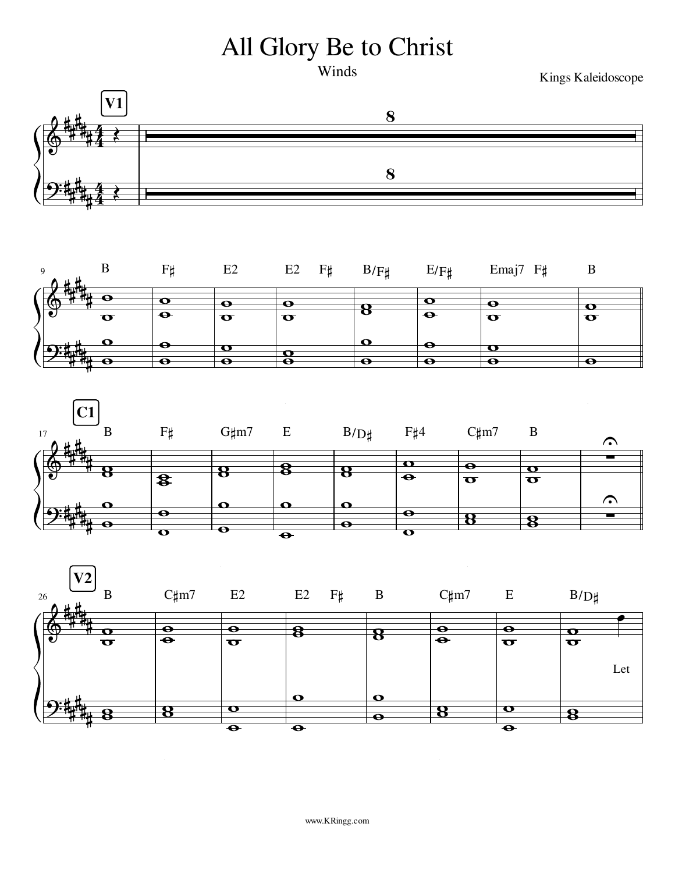## All Glory Be to Christ

Winds

Kings Kaleidoscope







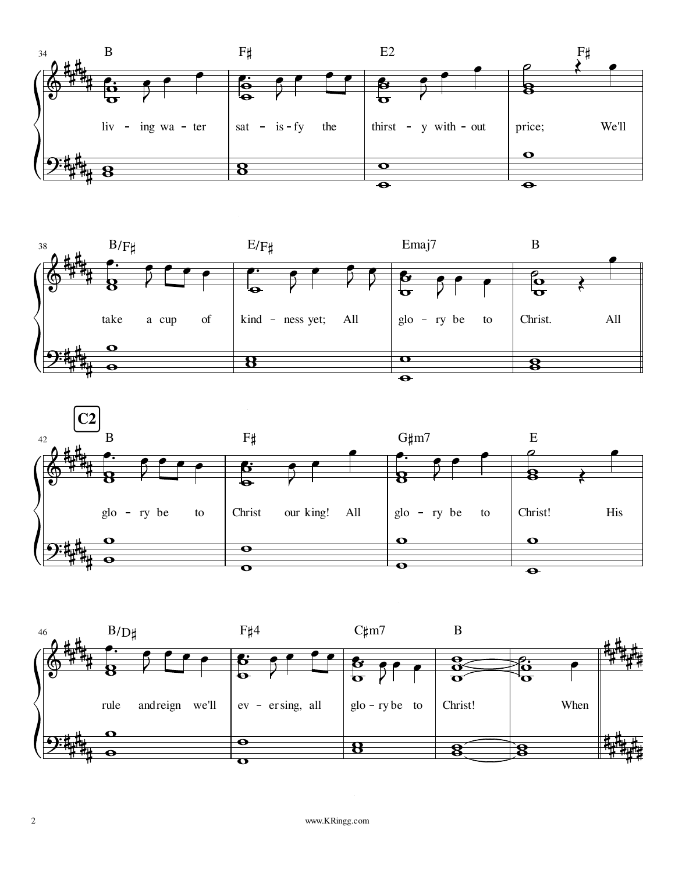